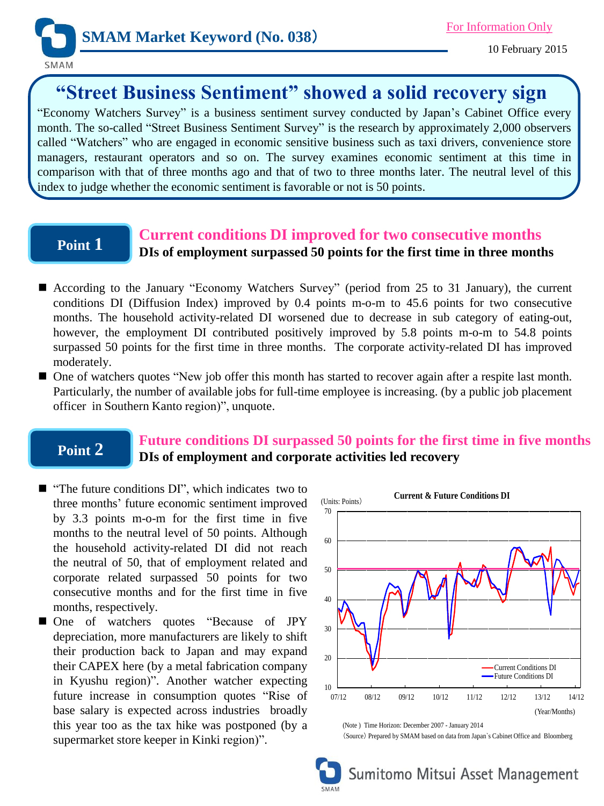

# **"Street Business Sentiment" showed a solid recovery sign**

"Economy Watchers Survey" is a business sentiment survey conducted by Japan's Cabinet Office every month. The so-called "Street Business Sentiment Survey" is the research by approximately 2,000 observers called "Watchers" who are engaged in economic sensitive business such as taxi drivers, convenience store managers, restaurant operators and so on. The survey examines economic sentiment at this time in comparison with that of three months ago and that of two to three months later. The neutral level of this index to judge whether the economic sentiment is favorable or not is 50 points.

## **Point 1**

## **Current conditions DI improved for two consecutive months**

**DIs of employment surpassed 50 points for the first time in three months**

- According to the January "Economy Watchers Survey" (period from 25 to 31 January), the current conditions DI (Diffusion Index) improved by 0.4 points m-o-m to 45.6 points for two consecutive months. The household activity-related DI worsened due to decrease in sub category of eating-out, however, the employment DI contributed positively improved by 5.8 points m-o-m to 54.8 points surpassed 50 points for the first time in three months. The corporate activity-related DI has improved moderately.
- One of watchers quotes "New job offer this month has started to recover again after a respite last month. Particularly, the number of available jobs for full-time employee is increasing. (by a public job placement officer in Southern Kanto region)", unquote.

### **Point 2**

### **Future conditions DI surpassed 50 points for the first time in five months DIs of employment and corporate activities led recovery**

- **The future conditions DI"**, which indicates two to three months' future economic sentiment improved by 3.3 points m-o-m for the first time in five months to the neutral level of 50 points. Although the household activity-related DI did not reach the neutral of 50, that of employment related and corporate related surpassed 50 points for two consecutive months and for the first time in five months, respectively.
- One of watchers quotes "Because of JPY depreciation, more manufacturers are likely to shift their production back to Japan and may expand their CAPEX here (by a metal fabrication company in Kyushu region)". Another watcher expecting future increase in consumption quotes "Rise of base salary is expected across industries broadly this year too as the tax hike was postponed (by a supermarket store keeper in Kinki region)".



(Note ) Time Horizon: December 2007 - January 2014 (Source) Prepared by SMAM based on data from Japan`s Cabinet Office and Bloomberg